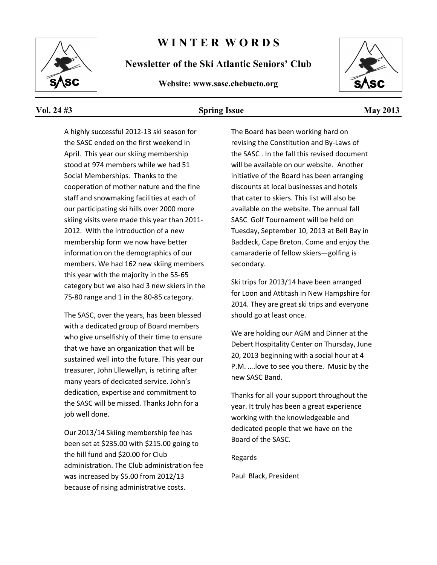

#### **W I N T E R W O R D S**

**Newsletter of the Ski Atlantic Seniors' Club**

#### **Website: www.sasc.chebucto.org**



#### **Vol. 24 #3 Spring Issue May 2013**

A highly successful 2012-13 ski season for the SASC ended on the first weekend in April. This year our skiing membership stood at 974 members while we had 51 Social Memberships. Thanks to the cooperation of mother nature and the fine staff and snowmaking facilities at each of our participating ski hills over 2000 more skiing visits were made this year than 2011- 2012. With the introduction of a new membership form we now have better information on the demographics of our members. We had 162 new skiing members this year with the majority in the 55-65 category but we also had 3 new skiers in the 75-80 range and 1 in the 80-85 category.

The SASC, over the years, has been blessed with a dedicated group of Board members who give unselfishly of their time to ensure that we have an organization that will be sustained well into the future. This year our treasurer, John Lllewellyn, is retiring after many years of dedicated service. John's dedication, expertise and commitment to the SASC will be missed. Thanks John for a job well done.

Our 2013/14 Skiing membership fee has been set at \$235.00 with \$215.00 going to the hill fund and \$20.00 for Club administration. The Club administration fee was increased by \$5.00 from 2012/13 because of rising administrative costs.

The Board has been working hard on revising the Constitution and By-Laws of the SASC . In the fall this revised document will be available on our website. Another initiative of the Board has been arranging discounts at local businesses and hotels that cater to skiers. This list will also be available on the website. The annual fall SASC Golf Tournament will be held on Tuesday, September 10, 2013 at Bell Bay in Baddeck, Cape Breton. Come and enjoy the camaraderie of fellow skiers—golfing is secondary.

Ski trips for 2013/14 have been arranged for Loon and Attitash in New Hampshire for 2014. They are great ski trips and everyone should go at least once.

We are holding our AGM and Dinner at the Debert Hospitality Center on Thursday, June 20, 2013 beginning with a social hour at 4 P.M. ….love to see you there. Music by the new SASC Band.

Thanks for all your support throughout the year. It truly has been a great experience working with the knowledgeable and dedicated people that we have on the Board of the SASC.

Regards

Paul Black, President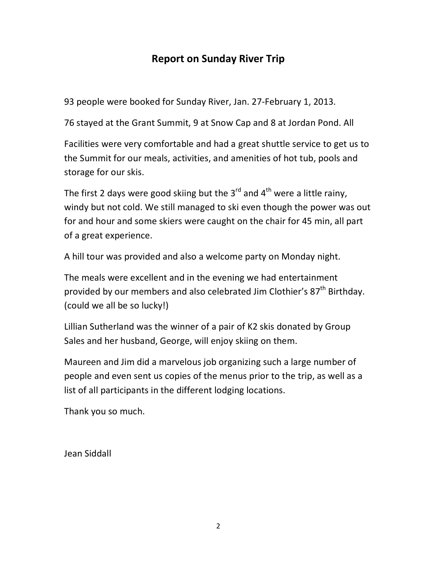#### **Report on Sunday River Trip**

93 people were booked for Sunday River, Jan. 27-February 1, 2013.

76 stayed at the Grant Summit, 9 at Snow Cap and 8 at Jordan Pond. All

Facilities were very comfortable and had a great shuttle service to get us to the Summit for our meals, activities, and amenities of hot tub, pools and storage for our skis.

The first 2 days were good skiing but the  $3^{rd}$  and  $4^{th}$  were a little rainy, windy but not cold. We still managed to ski even though the power was out for and hour and some skiers were caught on the chair for 45 min, all part of a great experience.

A hill tour was provided and also a welcome party on Monday night.

The meals were excellent and in the evening we had entertainment provided by our members and also celebrated Jim Clothier's 87<sup>th</sup> Birthday. (could we all be so lucky!)

Lillian Sutherland was the winner of a pair of K2 skis donated by Group Sales and her husband, George, will enjoy skiing on them.

Maureen and Jim did a marvelous job organizing such a large number of people and even sent us copies of the menus prior to the trip, as well as a list of all participants in the different lodging locations.

Thank you so much.

Jean Siddall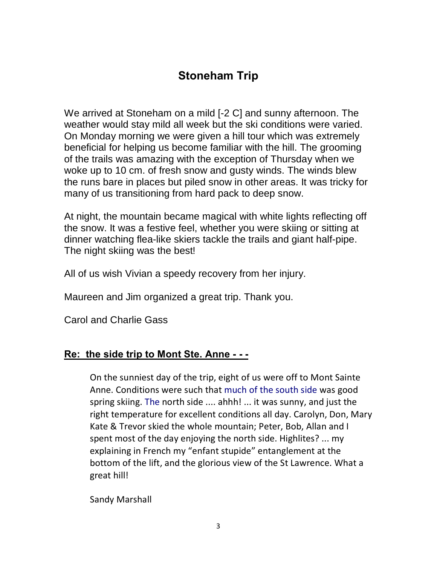### **Stoneham Trip**

We arrived at Stoneham on a mild [-2 C] and sunny afternoon. The weather would stay mild all week but the ski conditions were varied. On Monday morning we were given a hill tour which was extremely beneficial for helping us become familiar with the hill. The grooming of the trails was amazing with the exception of Thursday when we woke up to 10 cm. of fresh snow and gusty winds. The winds blew the runs bare in places but piled snow in other areas. It was tricky for many of us transitioning from hard pack to deep snow.

At night, the mountain became magical with white lights reflecting off the snow. It was a festive feel, whether you were skiing or sitting at dinner watching flea-like skiers tackle the trails and giant half-pipe. The night skiing was the best!

All of us wish Vivian a speedy recovery from her injury.

Maureen and Jim organized a great trip. Thank you.

Carol and Charlie Gass

#### **Re: the side trip to Mont Ste. Anne - - -**

On the sunniest day of the trip, eight of us were off to Mont Sainte Anne. Conditions were such that much of the south side was good spring skiing. The north side .... ahhh! ... it was sunny, and just the right temperature for excellent conditions all day. Carolyn, Don, Mary Kate & Trevor skied the whole mountain; Peter, Bob, Allan and I spent most of the day enjoying the north side. Highlites? ... my explaining in French my "enfant stupide" entanglement at the bottom of the lift, and the glorious view of the St Lawrence. What a great hill!

Sandy Marshall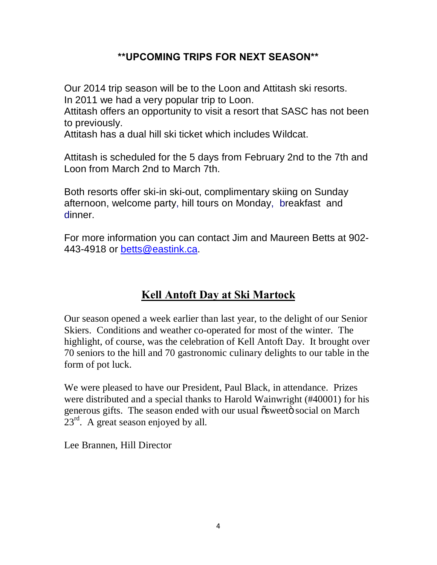#### **\*\*UPCOMING TRIPS FOR NEXT SEASON\*\***

Our 2014 trip season will be to the Loon and Attitash ski resorts. In 2011 we had a very popular trip to Loon.

Attitash offers an opportunity to visit a resort that SASC has not been to previously.

Attitash has a dual hill ski ticket which includes Wildcat.

Attitash is scheduled for the 5 days from February 2nd to the 7th and Loon from March 2nd to March 7th.

Both resorts offer ski-in ski-out, complimentary skiing on Sunday afternoon, welcome party, hill tours on Monday, breakfast and dinner.

For more information you can contact Jim and Maureen Betts at 902- 443-4918 or [betts@eastink.ca.](mailto:betts@eastink.ca)

### **Kell Antoft Day at Ski Martock**

Our season opened a week earlier than last year, to the delight of our Senior Skiers. Conditions and weather co-operated for most of the winter. The highlight, of course, was the celebration of Kell Antoft Day. It brought over 70 seniors to the hill and 70 gastronomic culinary delights to our table in the form of pot luck.

We were pleased to have our President, Paul Black, in attendance. Prizes were distributed and a special thanks to Harold Wainwright (#40001) for his generous gifts. The season ended with our usual  $\tilde{\text{o}}$ sweet  $\tilde{\text{o}}$  social on March  $23<sup>rd</sup>$ . A great season enjoyed by all.

Lee Brannen, Hill Director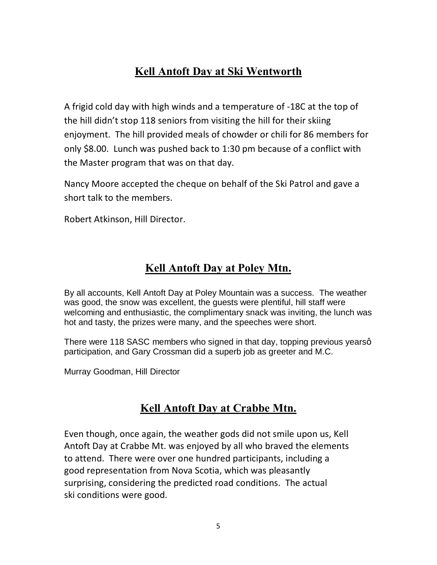### **Kell Antoft Day at Ski Wentworth**

A frigid cold day with high winds and a temperature of -18C at the top of the hill didn't stop 118 seniors from visiting the hill for their skiing enjoyment. The hill provided meals of chowder or chili for 86 members for only \$8.00. Lunch was pushed back to 1:30 pm because of a conflict with the Master program that was on that day.

Nancy Moore accepted the cheque on behalf of the Ski Patrol and gave a short talk to the members.

Robert Atkinson, Hill Director.

### **Kell Antoft Day at Poley Mtn.**

By all accounts, Kell Antoft Day at Poley Mountain was a success. The weather was good, the snow was excellent, the guests were plentiful, hill staff were welcoming and enthusiastic, the complimentary snack was inviting, the lunch was hot and tasty, the prizes were many, and the speeches were short.

There were 118 SASC members who signed in that day, topping previous yearsg participation, and Gary Crossman did a superb job as greeter and M.C.

Murray Goodman, Hill Director

### **Kell Antoft Day at Crabbe Mtn.**

Even though, once again, the weather gods did not smile upon us, Kell Antoft Day at Crabbe Mt. was enjoyed by all who braved the elements to attend. There were over one hundred participants, including a good representation from Nova Scotia, which was pleasantly surprising, considering the predicted road conditions. The actual ski conditions were good.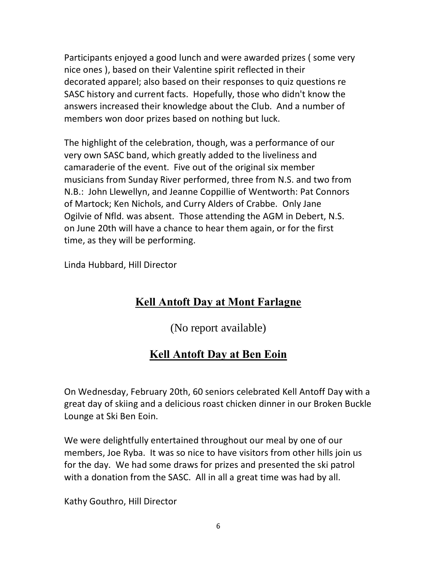Participants enjoyed a good lunch and were awarded prizes ( some very nice ones ), based on their Valentine spirit reflected in their decorated apparel; also based on their responses to quiz questions re SASC history and current facts. Hopefully, those who didn't know the answers increased their knowledge about the Club. And a number of members won door prizes based on nothing but luck.

The highlight of the celebration, though, was a performance of our very own SASC band, which greatly added to the liveliness and camaraderie of the event. Five out of the original six member musicians from Sunday River performed, three from N.S. and two from N.B.: John Llewellyn, and Jeanne Coppillie of Wentworth: Pat Connors of Martock; Ken Nichols, and Curry Alders of Crabbe. Only Jane Ogilvie of Nfld. was absent. Those attending the AGM in Debert, N.S. on June 20th will have a chance to hear them again, or for the first time, as they will be performing.

Linda Hubbard, Hill Director

### **Kell Antoft Day at Mont Farlagne**

(No report available)

### **Kell Antoft Day at Ben Eoin**

On Wednesday, February 20th, 60 seniors celebrated Kell Antoff Day with a great day of skiing and a delicious roast chicken dinner in our Broken Buckle Lounge at Ski Ben Eoin.

We were delightfully entertained throughout our meal by one of our members, Joe Ryba. It was so nice to have visitors from other hills join us for the day. We had some draws for prizes and presented the ski patrol with a donation from the SASC. All in all a great time was had by all.

Kathy Gouthro, Hill Director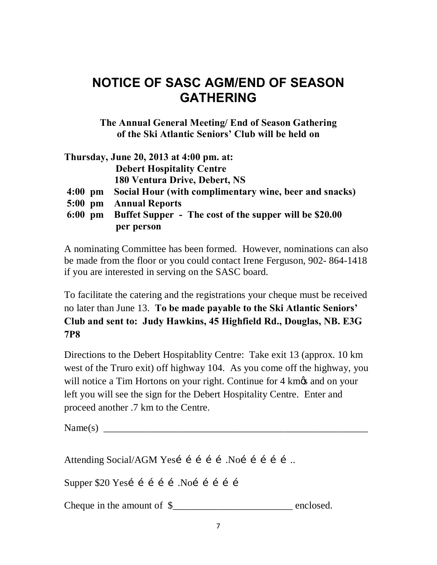# **NOTICE OF SASC AGM/END OF SEASON GATHERING**

**The Annual General Meeting/ End of Season Gathering of the Ski Atlantic Seniors' Club will be held on**

|           | Thursday, June 20, 2013 at 4:00 pm. at:                |
|-----------|--------------------------------------------------------|
|           | <b>Debert Hospitality Centre</b>                       |
|           | 180 Ventura Drive, Debert, NS                          |
| $4:00$ pm | Social Hour (with complimentary wine, beer and snacks) |
| $5:00$ pm | <b>Annual Reports</b>                                  |
| $6:00$ pm | Buffet Supper - The cost of the supper will be \$20.00 |
|           | per person                                             |

A nominating Committee has been formed. However, nominations can also be made from the floor or you could contact Irene Ferguson, 902- 864-1418 if you are interested in serving on the SASC board.

To facilitate the catering and the registrations your cheque must be received no later than June 13. **To be made payable to the Ski Atlantic Seniors' Club and sent to: Judy Hawkins, 45 Highfield Rd., Douglas, NB. E3G 7P8**

Directions to the Debert Hospitablity Centre: Take exit 13 (approx. 10 km west of the Truro exit) off highway 104. As you come off the highway, you will notice a Tim Hortons on your right. Continue for 4 km $\alpha$  and on your left you will see the sign for the Debert Hospitality Centre. Enter and proceed another .7 km to the Centre.

Name(s) \_\_\_\_\_\_\_\_\_\_\_\_\_\_\_\_\_\_\_\_\_\_\_\_\_\_\_\_\_\_\_\_\_\_\_\_\_\_\_\_\_\_\_\_\_\_\_\_\_\_\_\_\_

Attending Social/AGM Yesí í í í í Noí í í í í ...

Supper  $$20$  Yesi i i i i Noi i i i i

Cheque in the amount of  $\frac{1}{2}$  enclosed.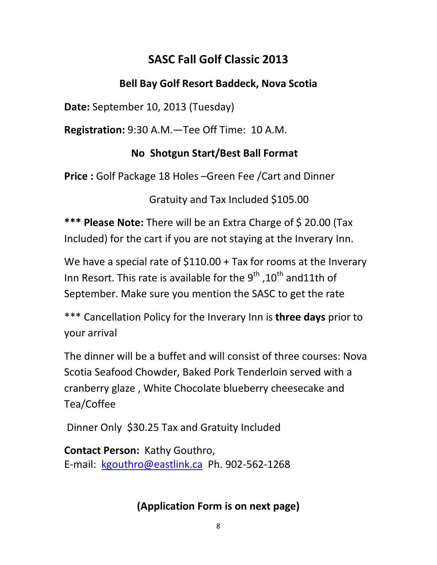# **SASC Fall Golf Classic 2013**

### **Bell Bay Golf Resort Baddeck, Nova Scotia**

**Date:** September 10, 2013 (Tuesday)

**Registration:** 9:30 A.M.—Tee Off Time: 10 A.M.

### **No Shotgun Start/Best Ball Format**

**Price :** Golf Package 18 Holes –Green Fee /Cart and Dinner

Gratuity and Tax Included \$105.00

**\*\*\* Please Note:** There will be an Extra Charge of \$ 20.00 (Tax Included) for the cart if you are not staying at the Inverary Inn.

We have a special rate of \$110.00 + Tax for rooms at the Inverary Inn Resort. This rate is available for the  $9<sup>th</sup>$ , 10<sup>th</sup> and11th of September. Make sure you mention the SASC to get the rate

\*\*\* Cancellation Policy for the Inverary Inn is **three days** prior to your arrival

The dinner will be a buffet and will consist of three courses: Nova Scotia Seafood Chowder, Baked Pork Tenderloin served with a cranberry glaze , White Chocolate blueberry cheesecake and Tea/Coffee

Dinner Only \$30.25 Tax and Gratuity Included

**Contact Person:** Kathy Gouthro, E-mail: [kgouthro@eastlink.ca](mailto:kgouthro@eastlink.ca) Ph. 902-562-1268

## **(Application Form is on next page)**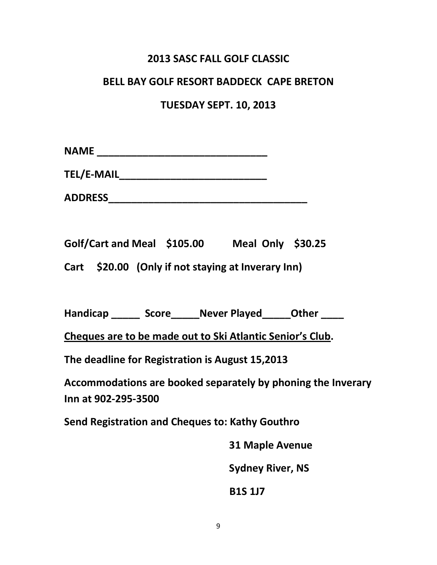#### **2013 SASC FALL GOLF CLASSIC**

#### **BELL BAY GOLF RESORT BADDECK CAPE BRETON**

#### **TUESDAY SEPT. 10, 2013**

| <b>NAME</b> |  |  |  |  |  |  |
|-------------|--|--|--|--|--|--|
|             |  |  |  |  |  |  |

**TEL/E-MAIL\_\_\_\_\_\_\_\_\_\_\_\_\_\_\_\_\_\_\_\_\_\_\_\_\_\_**

**ADDRESS\_\_\_\_\_\_\_\_\_\_\_\_\_\_\_\_\_\_\_\_\_\_\_\_\_\_\_\_\_\_\_\_\_\_\_**

**Golf/Cart and Meal \$105.00 Meal Only \$30.25**

**Cart \$20.00 (Only if not staying at Inverary Inn)**

Handicap Score Never Played Other

**Cheques are to be made out to Ski Atlantic Senior's Club.** 

**The deadline for Registration is August 15,2013**

**Accommodations are booked separately by phoning the Inverary Inn at 902-295-3500**

**Send Registration and Cheques to: Kathy Gouthro**

 **31 Maple Avenue Sydney River, NS**

 **B1S 1J7**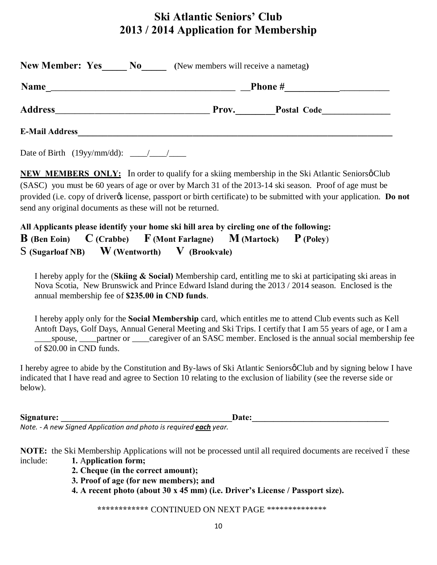### **Ski Atlantic Seniors' Club 2013 / 2014 Application for Membership**

| <b>Name</b>    | <b>Phone</b> #<br><u> 1989 - Andrea Stadt Britain, amerikansk politiker (d. 1989)</u> |  |  |  |  |  |
|----------------|---------------------------------------------------------------------------------------|--|--|--|--|--|
| <b>Address</b> | Prov.                                                                                 |  |  |  |  |  |
|                | Postal Code                                                                           |  |  |  |  |  |

Date of Birth (19yy/mm/dd): \_\_\_\_/\_\_\_\_/\_\_\_\_

**NEW MEMBERS ONLY:** In order to qualify for a skiing membership in the Ski Atlantic Seniors of Club (SASC) you must be 60 years of age or over by March 31 of the 2013-14 ski season. Proof of age must be provided (i.e. copy of driver<sub>%</sub> license, passport or birth certificate) to be submitted with your application. **Do not** send any original documents as these will not be returned.

**All Applicants please identify your home ski hill area by circling one of the following: B (Ben Eoin) C (Crabbe) F (Mont Farlagne) M (Martock) P (Poley**) S **(Sugarloaf NB) W (Wentworth) V (Brookvale)** 

 I hereby apply for the (**Skiing & Social)** Membership card, entitling me to ski at participating ski areas in Nova Scotia, New Brunswick and Prince Edward Island during the 2013 / 2014 season. Enclosed is the annual membership fee of **\$235.00 in CND funds**.

 I hereby apply only for the **Social Membership** card, which entitles me to attend Club events such as Kell Antoft Days, Golf Days, Annual General Meeting and Ski Trips. I certify that I am 55 years of age, or I am a spouse, partner or caregiver of an SASC member. Enclosed is the annual social membership fee of \$20.00 in CND funds.

I hereby agree to abide by the Constitution and By-laws of Ski Atlantic Seniors of Club and by signing below I have indicated that I have read and agree to Section 10 relating to the exclusion of liability (see the reverse side or below).

Signature: the contract of the contract of the contract of the contract of the contract of the contract of the contract of the contract of the contract of the contract of the contract of the contract of the contract of the

*Note. - A new Signed Application and photo is required each year.* 

**NOTE:** the Ski Membership Applications will not be processed until all required documents are received 6 these include: **1.** A**pplication form;** 

- **2. Cheque (in the correct amount);**
- **3. Proof of age (for new members); and**
- **4. A recent photo (about 30 x 45 mm) (i.e. Driver's License / Passport size).**

**\*\*\*\*\*\*\*\*\*\*\*\*** CONTINUED ON NEXT PAGE \*\*\*\*\*\*\*\*\*\*\*\*\*\*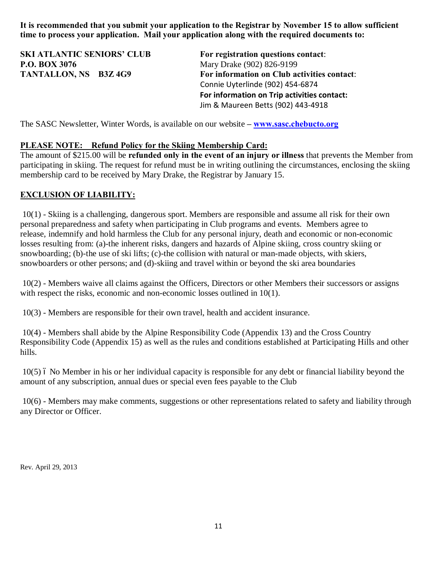**It is recommended that you submit your application to the Registrar by November 15 to allow sufficient time to process your application. Mail your application along with the required documents to:** 

**SKI ATLANTIC SENIORS' CLUB For registration questions contact**: **P.O. BOX 3076** Mary Drake (902) 826-9199

**TANTALLON, NS B3Z 4G9 For information on Club activities contact**: Connie Uyterlinde (902) 454-6874 **For information on Trip activities contact:**  Jim & Maureen Betts (902) 443-4918

The SASC Newsletter, Winter Words, is available on our website **– [www.sasc.chebucto.org](http://www.sasc.chebucto.org/)**

#### **PLEASE NOTE: Refund Policy for the Skiing Membership Card:**

The amount of \$215.00 will be **refunded only in the event of an injury or illness** that prevents the Member from participating in skiing. The request for refund must be in writing outlining the circumstances, enclosing the skiing membership card to be received by Mary Drake, the Registrar by January 15.

#### **EXCLUSION OF LIABILITY:**

10(1) - Skiing is a challenging, dangerous sport. Members are responsible and assume all risk for their own personal preparedness and safety when participating in Club programs and events. Members agree to release, indemnify and hold harmless the Club for any personal injury, death and economic or non-economic losses resulting from: (a)-the inherent risks, dangers and hazards of Alpine skiing, cross country skiing or snowboarding; (b)-the use of ski lifts; (c)-the collision with natural or man-made objects, with skiers, snowboarders or other persons; and (d)-skiing and travel within or beyond the ski area boundaries

10(2) - Members waive all claims against the Officers, Directors or other Members their successors or assigns with respect the risks, economic and non-economic losses outlined in 10(1).

10(3) - Members are responsible for their own travel, health and accident insurance.

10(4) - Members shall abide by the Alpine Responsibility Code (Appendix 13) and the Cross Country Responsibility Code (Appendix 15) as well as the rules and conditions established at Participating Hills and other hills.

10(5) – No Member in his or her individual capacity is responsible for any debt or financial liability beyond the amount of any subscription, annual dues or special even fees payable to the Club

10(6) - Members may make comments, suggestions or other representations related to safety and liability through any Director or Officer.

Rev. April 29, 2013